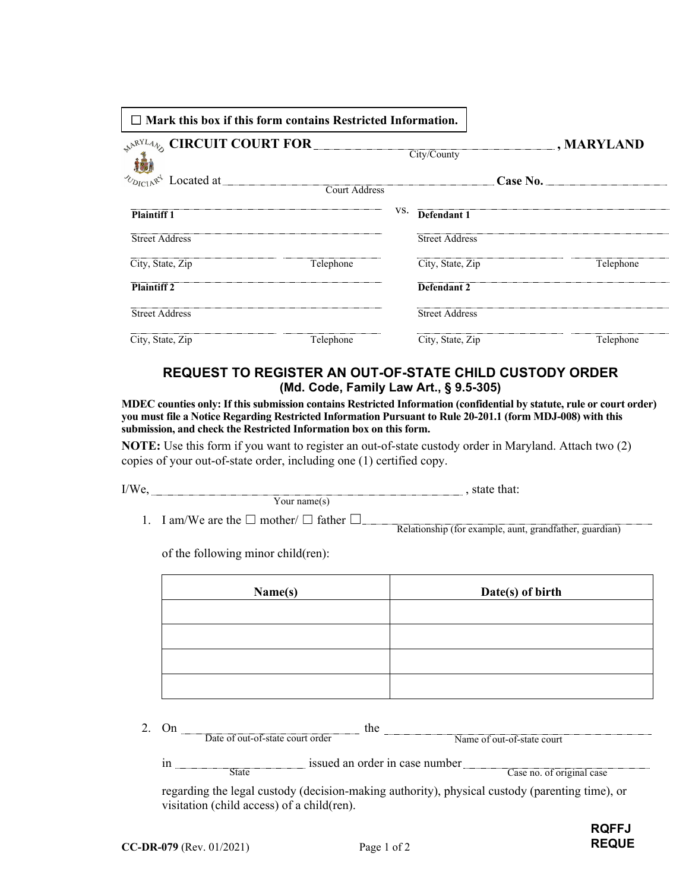| $\Box$ Mark this box if this form contains Restricted Information. |           |     |                       |          |                   |  |  |
|--------------------------------------------------------------------|-----------|-----|-----------------------|----------|-------------------|--|--|
| $\mathcal{P}^{\mathcal{N}^{RYL}}$ CIRCUIT COURT FOR $\_\_$         |           |     | City/County           |          | $\Box$ , MARYLAND |  |  |
|                                                                    |           |     |                       | Case No. |                   |  |  |
| <b>Plaintiff 1</b>                                                 |           | VS. | Defendant 1           |          |                   |  |  |
| <b>Street Address</b>                                              |           |     | <b>Street Address</b> |          |                   |  |  |
| City, State, Zip                                                   | Telephone |     | City, State, Zip      |          | Telephone         |  |  |
| <b>Plaintiff 2</b>                                                 |           |     | Defendant 2           |          |                   |  |  |
| <b>Street Address</b>                                              |           |     | <b>Street Address</b> |          |                   |  |  |
| City, State, Zip                                                   | Telephone |     | City, State, Zip      |          | Telephone         |  |  |

## **REQUEST TO REGISTER AN OUT-OF-STATE CHILD CUSTODY ORDER (Md. Code, Family Law Art., § 9.5-305)**

**MDEC counties only: If this submission contains Restricted Information (confidential by statute, rule or court order) you must file a Notice Regarding Restricted Information Pursuant to Rule 20-201.1 (form MDJ-008) with this submission, and check the Restricted Information box on this form.**

**NOTE:** Use this form if you want to register an out-of-state custody order in Maryland. Attach two (2) copies of your out-of-state order, including one (1) certified copy.

| -<br>A.<br>$\mathbf{L}$ |  |
|-------------------------|--|
| '''                     |  |

1. I am/We are the  $\square$  mother/  $\square$  father  $\square$ Relationship (for example, aunt, grandfather, guardian)

of the following minor child(ren):

| Name(s) | Date(s) of birth |
|---------|------------------|
|         |                  |
|         |                  |
|         |                  |
|         |                  |

2. On  $\qquad$  the Date of out-of-state court order Name of out-of-state court

in issued an order in case number State Case no. of original case

regarding the legal custody (decision-making authority), physical custody (parenting time), or visitation (child access) of a child(ren).